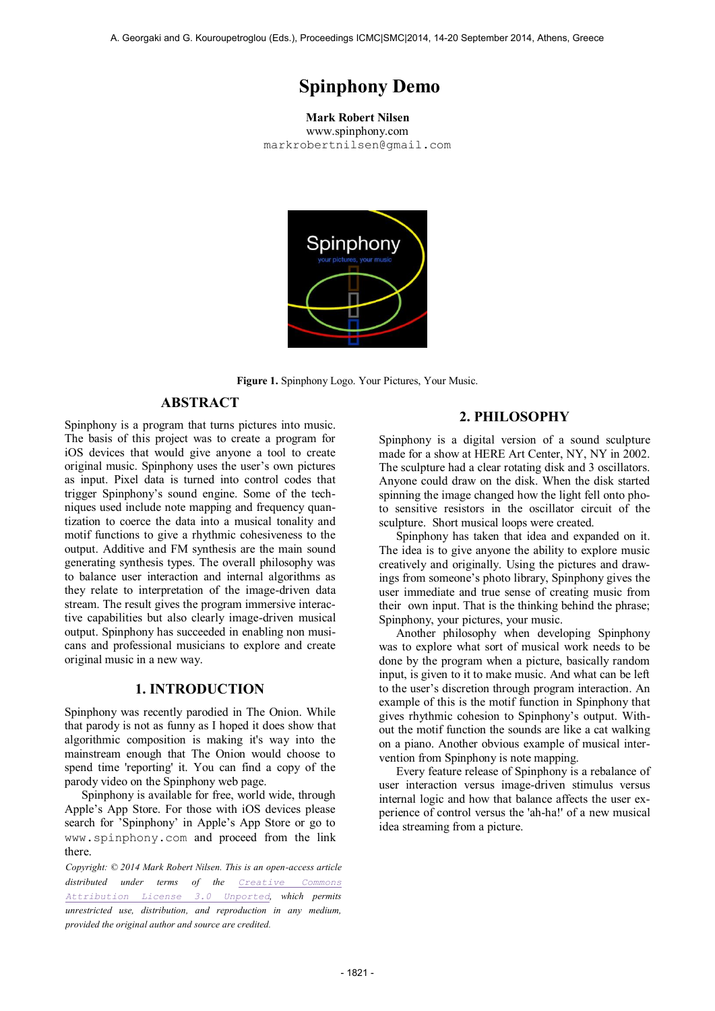# **Spinphony Demo**

**Mark Robert Nilsen**

www.spinphony.com [ma](mailto:author1@smcnetwork.org?subject=SMC%202010%20paper)rkrobertnilsen@gmail.com



**Figure 1.** Spinphony Logo. Your Pictures, Your Music.

## **ABSTRACT**

Spinphony is a program that turns pictures into music. The basis of this project was to create a program for iOS devices that would give anyone a tool to create original music. Spinphony uses the user's own pictures as input. Pixel data is turned into control codes that trigger Spinphony's sound engine. Some of the techniques used include note mapping and frequency quantization to coerce the data into a musical tonality and motif functions to give a rhythmic cohesiveness to the output. Additive and FM synthesis are the main sound generating synthesis types. The overall philosophy was to balance user interaction and internal algorithms as they relate to interpretation of the image-driven data stream. The result gives the program immersive interactive capabilities but also clearly image-driven musical output. Spinphony has succeeded in enabling non musicans and professional musicians to explore and create original music in a new way.

# **1. INTRODUCTION**

Spinphony was recently parodied in The Onion. While that parody is not as funny as I hoped it does show that algorithmic composition is making it's way into the mainstream enough that The Onion would choose to spend time 'reporting' it. You can find a copy of the parody video on the Spinphony web page.

Spinphony is available for free, world wide, through Apple's App Store. For those with iOS devices please search for 'Spinphony' in Apple's App Store or go to [www.spinphony.com](http://www.spinphony.com/) and proceed from the link there.

*Copyright: © 2014 Mark Robert Nilsen. This is an open-access article distributed under terms of the [Creative Commons](http://creativecommons.org/licenses/by/3.0/)  [Attribution License 3.0](http://creativecommons.org/licenses/by/3.0/) Unported, which permits unrestricted use, distribution, and reproduction in any medium, provided the original author and source are credited.*

# **2. PHILOSOPHY**

Spinphony is a digital version of a sound sculpture made for a show at HERE Art Center, NY, NY in 2002. The sculpture had a clear rotating disk and 3 oscillators. Anyone could draw on the disk. When the disk started spinning the image changed how the light fell onto photo sensitive resistors in the oscillator circuit of the sculpture. Short musical loops were created.

Spinphony has taken that idea and expanded on it. The idea is to give anyone the ability to explore music creatively and originally. Using the pictures and drawings from someone's photo library, Spinphony gives the user immediate and true sense of creating music from their own input. That is the thinking behind the phrase; Spinphony, your pictures, your music.

Another philosophy when developing Spinphony was to explore what sort of musical work needs to be done by the program when a picture, basically random input, is given to it to make music. And what can be left to the user's discretion through program interaction. An example of this is the motif function in Spinphony that gives rhythmic cohesion to Spinphony's output. Without the motif function the sounds are like a cat walking on a piano. Another obvious example of musical intervention from Spinphony is note mapping.

Every feature release of Spinphony is a rebalance of user interaction versus image-driven stimulus versus internal logic and how that balance affects the user experience of control versus the 'ah-ha!' of a new musical idea streaming from a picture.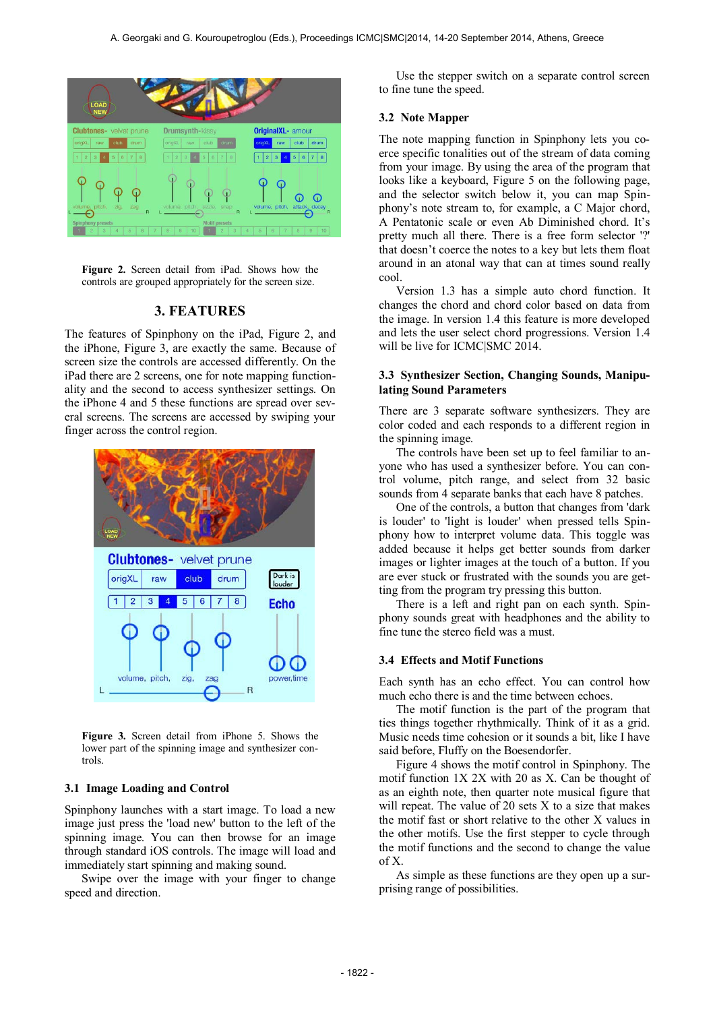

**Figure 2.** Screen detail from iPad. Shows how the controls are grouped appropriately for the screen size.

# **3. FEATURES**

The features of Spinphony on the iPad, Figure 2, and the iPhone, Figure 3, are exactly the same. Because of screen size the controls are accessed differently. On the iPad there are 2 screens, one for note mapping functionality and the second to access synthesizer settings. On the iPhone 4 and 5 these functions are spread over several screens. The screens are accessed by swiping your finger across the control region.



**Figure 3.** Screen detail from iPhone 5. Shows the lower part of the spinning image and synthesizer controls.

#### **3.1 Image Loading and Control**

Spinphony launches with a start image. To load a new image just press the 'load new' button to the left of the spinning image. You can then browse for an image through standard iOS controls. The image will load and immediately start spinning and making sound.

Swipe over the image with your finger to change speed and direction.

Use the stepper switch on a separate control screen to fine tune the speed.

#### **3.2 Note Mapper**

The note mapping function in Spinphony lets you coerce specific tonalities out of the stream of data coming from your image. By using the area of the program that looks like a keyboard, Figure 5 on the following page, and the selector switch below it, you can map Spinphony's note stream to, for example, a C Major chord, A Pentatonic scale or even Ab Diminished chord. It's pretty much all there. There is a free form selector '?' that doesn't coerce the notes to a key but lets them float around in an atonal way that can at times sound really cool.

Version 1.3 has a simple auto chord function. It changes the chord and chord color based on data from the image. In version 1.4 this feature is more developed and lets the user select chord progressions. Version 1.4 will be live for ICMC|SMC 2014.

#### **3.3 Synthesizer Section, Changing Sounds, Manipulating Sound Parameters**

There are 3 separate software synthesizers. They are color coded and each responds to a different region in the spinning image.

The controls have been set up to feel familiar to anyone who has used a synthesizer before. You can control volume, pitch range, and select from 32 basic sounds from 4 separate banks that each have 8 patches.

One of the controls, a button that changes from 'dark is louder' to 'light is louder' when pressed tells Spinphony how to interpret volume data. This toggle was added because it helps get better sounds from darker images or lighter images at the touch of a button. If you are ever stuck or frustrated with the sounds you are getting from the program try pressing this button.

There is a left and right pan on each synth. Spinphony sounds great with headphones and the ability to fine tune the stereo field was a must.

#### **3.4 Effects and Motif Functions**

Each synth has an echo effect. You can control how much echo there is and the time between echoes.

The motif function is the part of the program that ties things together rhythmically. Think of it as a grid. Music needs time cohesion or it sounds a bit, like I have said before, Fluffy on the Boesendorfer.

Figure 4 shows the motif control in Spinphony. The motif function 1X 2X with 20 as X. Can be thought of as an eighth note, then quarter note musical figure that will repeat. The value of 20 sets X to a size that makes the motif fast or short relative to the other X values in the other motifs. Use the first stepper to cycle through the motif functions and the second to change the value of X.

As simple as these functions are they open up a surprising range of possibilities.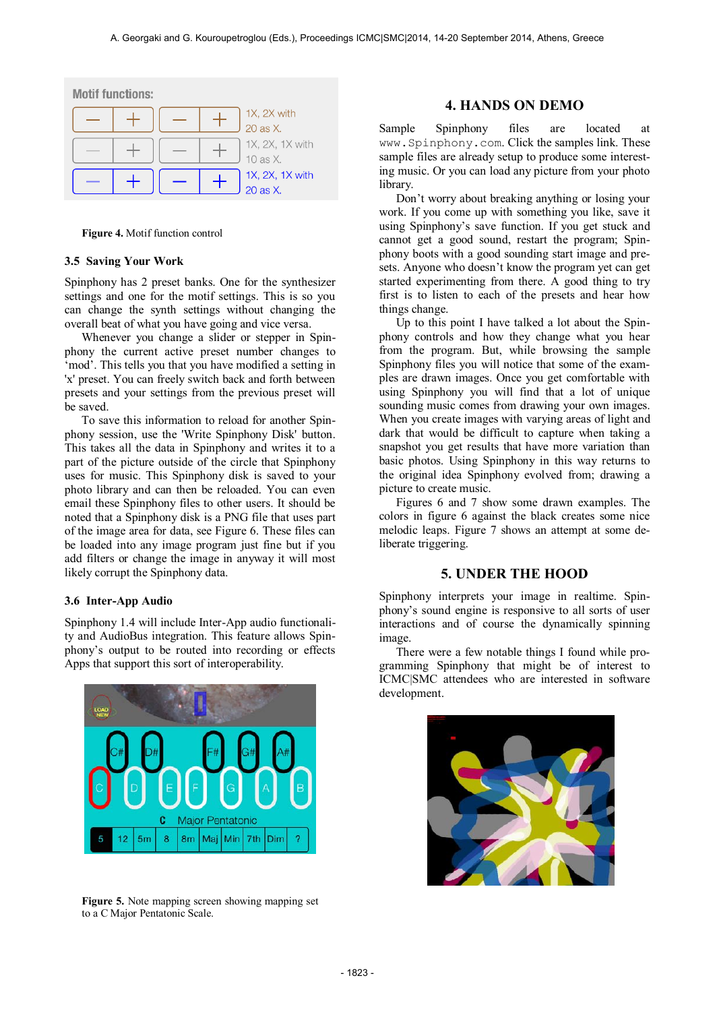| <b>Motif functions:</b> |  |  |  |                             |
|-------------------------|--|--|--|-----------------------------|
|                         |  |  |  | 1X, 2X with<br>20 as X.     |
|                         |  |  |  | 1X, 2X, 1X with<br>10 as X. |
|                         |  |  |  | 1X, 2X, 1X with<br>20 as X. |

**Figure 4.** Motif function control

#### **3.5 Saving Your Work**

Spinphony has 2 preset banks. One for the synthesizer settings and one for the motif settings. This is so you can change the synth settings without changing the overall beat of what you have going and vice versa.

Whenever you change a slider or stepper in Spinphony the current active preset number changes to 'mod'. This tells you that you have modified a setting in 'x' preset. You can freely switch back and forth between presets and your settings from the previous preset will be saved.

To save this information to reload for another Spinphony session, use the 'Write Spinphony Disk' button. This takes all the data in Spinphony and writes it to a part of the picture outside of the circle that Spinphony uses for music. This Spinphony disk is saved to your photo library and can then be reloaded. You can even email these Spinphony files to other users. It should be noted that a Spinphony disk is a PNG file that uses part of the image area for data, see Figure 6. These files can be loaded into any image program just fine but if you add filters or change the image in anyway it will most likely corrupt the Spinphony data.

## **3.6 Inter-App Audio**

Spinphony 1.4 will include Inter-App audio functionality and AudioBus integration. This feature allows Spinphony's output to be routed into recording or effects Apps that support this sort of interoperability.



**Figure 5.** Note mapping screen showing mapping set to a C Major Pentatonic Scale.

# **4. HANDS ON DEMO**

Sample Spinphony files are located at [www.Spinphony.com](http://www.spinphony.com/). Click the samples link. These sample files are already setup to produce some interesting music. Or you can load any picture from your photo library.

Don't worry about breaking anything or losing your work. If you come up with something you like, save it using Spinphony's save function. If you get stuck and cannot get a good sound, restart the program; Spinphony boots with a good sounding start image and presets. Anyone who doesn't know the program yet can get started experimenting from there. A good thing to try first is to listen to each of the presets and hear how things change.

Up to this point I have talked a lot about the Spinphony controls and how they change what you hear from the program. But, while browsing the sample Spinphony files you will notice that some of the examples are drawn images. Once you get comfortable with using Spinphony you will find that a lot of unique sounding music comes from drawing your own images. When you create images with varying areas of light and dark that would be difficult to capture when taking a snapshot you get results that have more variation than basic photos. Using Spinphony in this way returns to the original idea Spinphony evolved from; drawing a picture to create music.

Figures 6 and 7 show some drawn examples. The colors in figure 6 against the black creates some nice melodic leaps. Figure 7 shows an attempt at some deliberate triggering.

# **5. UNDER THE HOOD**

Spinphony interprets your image in realtime. Spinphony's sound engine is responsive to all sorts of user interactions and of course the dynamically spinning image.

There were a few notable things I found while programming Spinphony that might be of interest to ICMC|SMC attendees who are interested in software development.

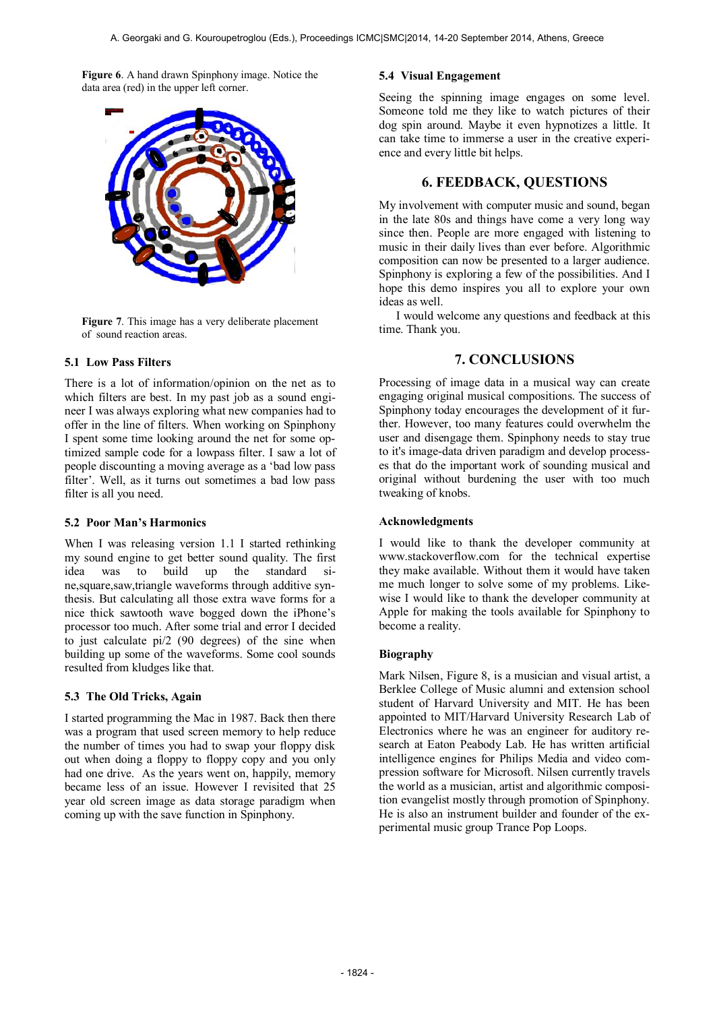**Figure 6**. A hand drawn Spinphony image. Notice the data area (red) in the upper left corner.



**Figure 7**. This image has a very deliberate placement of sound reaction areas.

## **5.1 Low Pass Filters**

There is a lot of information/opinion on the net as to which filters are best. In my past job as a sound engineer I was always exploring what new companies had to offer in the line of filters. When working on Spinphony I spent some time looking around the net for some optimized sample code for a lowpass filter. I saw a lot of people discounting a moving average as a 'bad low pass filter'. Well, as it turns out sometimes a bad low pass filter is all you need.

#### **5.2 Poor Man's Harmonics**

When I was releasing version 1.1 I started rethinking my sound engine to get better sound quality. The first idea was to build up the standard sine,square,saw,triangle waveforms through additive synthesis. But calculating all those extra wave forms for a nice thick sawtooth wave bogged down the iPhone's processor too much. After some trial and error I decided to just calculate pi/2 (90 degrees) of the sine when building up some of the waveforms. Some cool sounds resulted from kludges like that.

## **5.3 The Old Tricks, Again**

I started programming the Mac in 1987. Back then there was a program that used screen memory to help reduce the number of times you had to swap your floppy disk out when doing a floppy to floppy copy and you only had one drive. As the years went on, happily, memory became less of an issue. However I revisited that 25 year old screen image as data storage paradigm when coming up with the save function in Spinphony.

## **5.4 Visual Engagement**

Seeing the spinning image engages on some level. Someone told me they like to watch pictures of their dog spin around. Maybe it even hypnotizes a little. It can take time to immerse a user in the creative experience and every little bit helps.

# **6. FEEDBACK, QUESTIONS**

My involvement with computer music and sound, began in the late 80s and things have come a very long way since then. People are more engaged with listening to music in their daily lives than ever before. Algorithmic composition can now be presented to a larger audience. Spinphony is exploring a few of the possibilities. And I hope this demo inspires you all to explore your own ideas as well.

I would welcome any questions and feedback at this time. Thank you.

# **7. CONCLUSIONS**

Processing of image data in a musical way can create engaging original musical compositions. The success of Spinphony today encourages the development of it further. However, too many features could overwhelm the user and disengage them. Spinphony needs to stay true to it's image-data driven paradigm and develop processes that do the important work of sounding musical and original without burdening the user with too much tweaking of knobs.

## **Acknowledgments**

I would like to thank the developer community at [www.stackoverflow.com](http://www.stackoverflow.com/) for the technical expertise they make available. Without them it would have taken me much longer to solve some of my problems. Likewise I would like to thank the developer community at Apple for making the tools available for Spinphony to become a reality.

## **Biography**

Mark Nilsen, Figure 8, is a musician and visual artist, a Berklee College of Music alumni and extension school student of Harvard University and MIT. He has been appointed to MIT/Harvard University Research Lab of Electronics where he was an engineer for auditory research at Eaton Peabody Lab. He has written artificial intelligence engines for Philips Media and video compression software for Microsoft. Nilsen currently travels the world as a musician, artist and algorithmic composition evangelist mostly through promotion of Spinphony. He is also an instrument builder and founder of the experimental music group Trance Pop Loops.